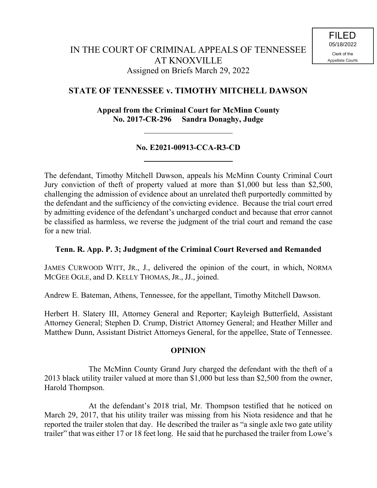# **STATE OF TENNESSEE v. TIMOTHY MITCHELL DAWSON**

**Appeal from the Criminal Court for McMinn County No. 2017-CR-296 Sandra Donaghy, Judge**

## **No. E2021-00913-CCA-R3-CD**

The defendant, Timothy Mitchell Dawson, appeals his McMinn County Criminal Court Jury conviction of theft of property valued at more than \$1,000 but less than \$2,500, challenging the admission of evidence about an unrelated theft purportedly committed by the defendant and the sufficiency of the convicting evidence. Because the trial court erred by admitting evidence of the defendant's uncharged conduct and because that error cannot be classified as harmless, we reverse the judgment of the trial court and remand the case for a new trial.

### **Tenn. R. App. P. 3; Judgment of the Criminal Court Reversed and Remanded**

JAMES CURWOOD WITT, JR., J., delivered the opinion of the court, in which, NORMA MCGEE OGLE, and D. KELLY THOMAS, JR., JJ., joined.

Andrew E. Bateman, Athens, Tennessee, for the appellant, Timothy Mitchell Dawson.

Herbert H. Slatery III, Attorney General and Reporter; Kayleigh Butterfield, Assistant Attorney General; Stephen D. Crump, District Attorney General; and Heather Miller and Matthew Dunn, Assistant District Attorneys General, for the appellee, State of Tennessee.

### **OPINION**

The McMinn County Grand Jury charged the defendant with the theft of a 2013 black utility trailer valued at more than \$1,000 but less than \$2,500 from the owner, Harold Thompson.

At the defendant's 2018 trial, Mr. Thompson testified that he noticed on March 29, 2017, that his utility trailer was missing from his Niota residence and that he reported the trailer stolen that day. He described the trailer as "a single axle two gate utility trailer" that was either 17 or 18 feet long. He said that he purchased the trailer from Lowe's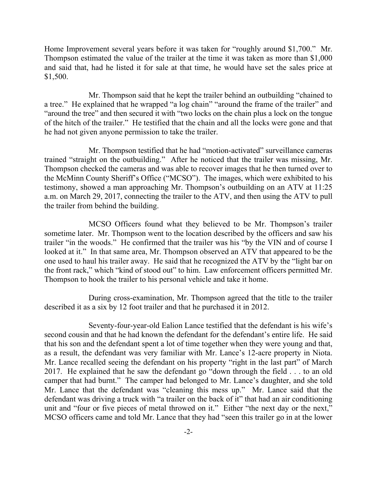Home Improvement several years before it was taken for "roughly around \$1,700." Mr. Thompson estimated the value of the trailer at the time it was taken as more than \$1,000 and said that, had he listed it for sale at that time, he would have set the sales price at \$1,500.

Mr. Thompson said that he kept the trailer behind an outbuilding "chained to a tree." He explained that he wrapped "a log chain" "around the frame of the trailer" and "around the tree" and then secured it with "two locks on the chain plus a lock on the tongue of the hitch of the trailer." He testified that the chain and all the locks were gone and that he had not given anyone permission to take the trailer.

Mr. Thompson testified that he had "motion-activated" surveillance cameras trained "straight on the outbuilding." After he noticed that the trailer was missing, Mr. Thompson checked the cameras and was able to recover images that he then turned over to the McMinn County Sheriff's Office ("MCSO"). The images, which were exhibited to his testimony, showed a man approaching Mr. Thompson's outbuilding on an ATV at 11:25 a.m. on March 29, 2017, connecting the trailer to the ATV, and then using the ATV to pull the trailer from behind the building.

MCSO Officers found what they believed to be Mr. Thompson's trailer sometime later. Mr. Thompson went to the location described by the officers and saw his trailer "in the woods." He confirmed that the trailer was his "by the VIN and of course I looked at it." In that same area, Mr. Thompson observed an ATV that appeared to be the one used to haul his trailer away. He said that he recognized the ATV by the "light bar on the front rack," which "kind of stood out" to him. Law enforcement officers permitted Mr. Thompson to hook the trailer to his personal vehicle and take it home.

During cross-examination, Mr. Thompson agreed that the title to the trailer described it as a six by 12 foot trailer and that he purchased it in 2012.

Seventy-four-year-old Ealion Lance testified that the defendant is his wife's second cousin and that he had known the defendant for the defendant's entire life. He said that his son and the defendant spent a lot of time together when they were young and that, as a result, the defendant was very familiar with Mr. Lance's 12-acre property in Niota. Mr. Lance recalled seeing the defendant on his property "right in the last part" of March 2017. He explained that he saw the defendant go "down through the field . . . to an old camper that had burnt." The camper had belonged to Mr. Lance's daughter, and she told Mr. Lance that the defendant was "cleaning this mess up." Mr. Lance said that the defendant was driving a truck with "a trailer on the back of it" that had an air conditioning unit and "four or five pieces of metal throwed on it." Either "the next day or the next," MCSO officers came and told Mr. Lance that they had "seen this trailer go in at the lower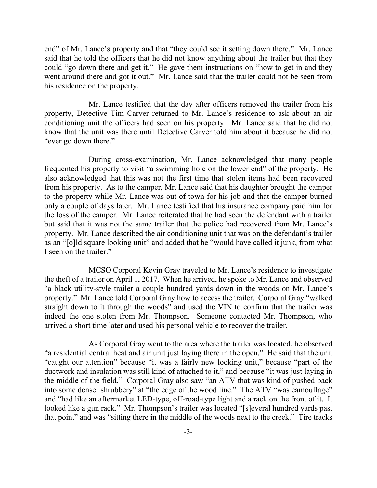end" of Mr. Lance's property and that "they could see it setting down there." Mr. Lance said that he told the officers that he did not know anything about the trailer but that they could "go down there and get it." He gave them instructions on "how to get in and they went around there and got it out." Mr. Lance said that the trailer could not be seen from his residence on the property.

Mr. Lance testified that the day after officers removed the trailer from his property, Detective Tim Carver returned to Mr. Lance's residence to ask about an air conditioning unit the officers had seen on his property. Mr. Lance said that he did not know that the unit was there until Detective Carver told him about it because he did not "ever go down there."

During cross-examination, Mr. Lance acknowledged that many people frequented his property to visit "a swimming hole on the lower end" of the property. He also acknowledged that this was not the first time that stolen items had been recovered from his property. As to the camper, Mr. Lance said that his daughter brought the camper to the property while Mr. Lance was out of town for his job and that the camper burned only a couple of days later. Mr. Lance testified that his insurance company paid him for the loss of the camper. Mr. Lance reiterated that he had seen the defendant with a trailer but said that it was not the same trailer that the police had recovered from Mr. Lance's property. Mr. Lance described the air conditioning unit that was on the defendant's trailer as an "[o]ld square looking unit" and added that he "would have called it junk, from what I seen on the trailer."

MCSO Corporal Kevin Gray traveled to Mr. Lance's residence to investigate the theft of a trailer on April 1, 2017. When he arrived, he spoke to Mr. Lance and observed "a black utility-style trailer a couple hundred yards down in the woods on Mr. Lance's property." Mr. Lance told Corporal Gray how to access the trailer. Corporal Gray "walked straight down to it through the woods" and used the VIN to confirm that the trailer was indeed the one stolen from Mr. Thompson. Someone contacted Mr. Thompson, who arrived a short time later and used his personal vehicle to recover the trailer.

As Corporal Gray went to the area where the trailer was located, he observed "a residential central heat and air unit just laying there in the open." He said that the unit "caught our attention" because "it was a fairly new looking unit," because "part of the ductwork and insulation was still kind of attached to it," and because "it was just laying in the middle of the field." Corporal Gray also saw "an ATV that was kind of pushed back into some denser shrubbery" at "the edge of the wood line." The ATV "was camouflage" and "had like an aftermarket LED-type, off-road-type light and a rack on the front of it. It looked like a gun rack." Mr. Thompson's trailer was located "[s]everal hundred yards past that point" and was "sitting there in the middle of the woods next to the creek." Tire tracks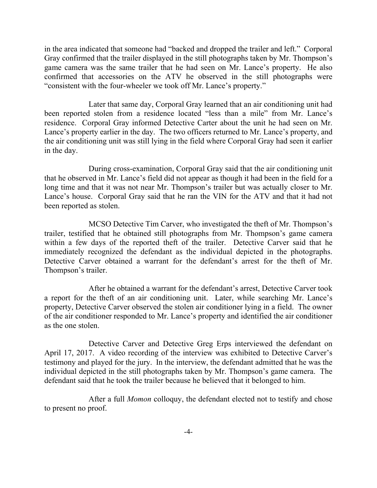in the area indicated that someone had "backed and dropped the trailer and left." Corporal Gray confirmed that the trailer displayed in the still photographs taken by Mr. Thompson's game camera was the same trailer that he had seen on Mr. Lance's property. He also confirmed that accessories on the ATV he observed in the still photographs were "consistent with the four-wheeler we took off Mr. Lance's property."

Later that same day, Corporal Gray learned that an air conditioning unit had been reported stolen from a residence located "less than a mile" from Mr. Lance's residence. Corporal Gray informed Detective Carter about the unit he had seen on Mr. Lance's property earlier in the day. The two officers returned to Mr. Lance's property, and the air conditioning unit was still lying in the field where Corporal Gray had seen it earlier in the day.

During cross-examination, Corporal Gray said that the air conditioning unit that he observed in Mr. Lance's field did not appear as though it had been in the field for a long time and that it was not near Mr. Thompson's trailer but was actually closer to Mr. Lance's house. Corporal Gray said that he ran the VIN for the ATV and that it had not been reported as stolen.

MCSO Detective Tim Carver, who investigated the theft of Mr. Thompson's trailer, testified that he obtained still photographs from Mr. Thompson's game camera within a few days of the reported theft of the trailer. Detective Carver said that he immediately recognized the defendant as the individual depicted in the photographs. Detective Carver obtained a warrant for the defendant's arrest for the theft of Mr. Thompson's trailer.

After he obtained a warrant for the defendant's arrest, Detective Carver took a report for the theft of an air conditioning unit. Later, while searching Mr. Lance's property, Detective Carver observed the stolen air conditioner lying in a field. The owner of the air conditioner responded to Mr. Lance's property and identified the air conditioner as the one stolen.

Detective Carver and Detective Greg Erps interviewed the defendant on April 17, 2017. A video recording of the interview was exhibited to Detective Carver's testimony and played for the jury. In the interview, the defendant admitted that he was the individual depicted in the still photographs taken by Mr. Thompson's game camera. The defendant said that he took the trailer because he believed that it belonged to him.

After a full *Momon* colloquy, the defendant elected not to testify and chose to present no proof.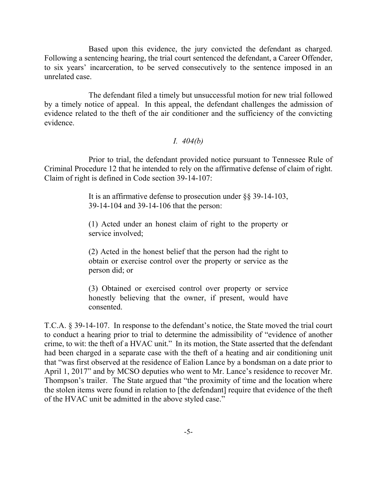Based upon this evidence, the jury convicted the defendant as charged. Following a sentencing hearing, the trial court sentenced the defendant, a Career Offender, to six years' incarceration, to be served consecutively to the sentence imposed in an unrelated case.

The defendant filed a timely but unsuccessful motion for new trial followed by a timely notice of appeal. In this appeal, the defendant challenges the admission of evidence related to the theft of the air conditioner and the sufficiency of the convicting evidence.

#### *I. 404(b)*

Prior to trial, the defendant provided notice pursuant to Tennessee Rule of Criminal Procedure 12 that he intended to rely on the affirmative defense of claim of right. Claim of right is defined in Code section 39-14-107:

> It is an affirmative defense to prosecution under §§ 39-14-103, 39-14-104 and 39-14-106 that the person:

> (1) Acted under an honest claim of right to the property or service involved;

> (2) Acted in the honest belief that the person had the right to obtain or exercise control over the property or service as the person did; or

> (3) Obtained or exercised control over property or service honestly believing that the owner, if present, would have consented.

T.C.A. § 39-14-107. In response to the defendant's notice, the State moved the trial court to conduct a hearing prior to trial to determine the admissibility of "evidence of another crime, to wit: the theft of a HVAC unit." In its motion, the State asserted that the defendant had been charged in a separate case with the theft of a heating and air conditioning unit that "was first observed at the residence of Ealion Lance by a bondsman on a date prior to April 1, 2017" and by MCSO deputies who went to Mr. Lance's residence to recover Mr. Thompson's trailer. The State argued that "the proximity of time and the location where the stolen items were found in relation to [the defendant] require that evidence of the theft of the HVAC unit be admitted in the above styled case."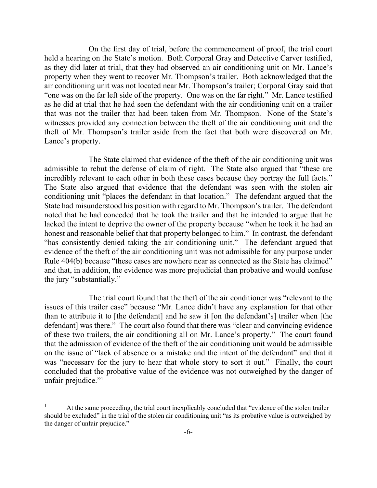On the first day of trial, before the commencement of proof, the trial court held a hearing on the State's motion. Both Corporal Gray and Detective Carver testified, as they did later at trial, that they had observed an air conditioning unit on Mr. Lance's property when they went to recover Mr. Thompson's trailer. Both acknowledged that the air conditioning unit was not located near Mr. Thompson's trailer; Corporal Gray said that "one was on the far left side of the property. One was on the far right." Mr. Lance testified as he did at trial that he had seen the defendant with the air conditioning unit on a trailer that was not the trailer that had been taken from Mr. Thompson. None of the State's witnesses provided any connection between the theft of the air conditioning unit and the theft of Mr. Thompson's trailer aside from the fact that both were discovered on Mr. Lance's property.

The State claimed that evidence of the theft of the air conditioning unit was admissible to rebut the defense of claim of right. The State also argued that "these are incredibly relevant to each other in both these cases because they portray the full facts." The State also argued that evidence that the defendant was seen with the stolen air conditioning unit "places the defendant in that location." The defendant argued that the State had misunderstood his position with regard to Mr. Thompson's trailer. The defendant noted that he had conceded that he took the trailer and that he intended to argue that he lacked the intent to deprive the owner of the property because "when he took it he had an honest and reasonable belief that that property belonged to him." In contrast, the defendant "has consistently denied taking the air conditioning unit." The defendant argued that evidence of the theft of the air conditioning unit was not admissible for any purpose under Rule 404(b) because "these cases are nowhere near as connected as the State has claimed" and that, in addition, the evidence was more prejudicial than probative and would confuse the jury "substantially."

The trial court found that the theft of the air conditioner was "relevant to the issues of this trailer case" because "Mr. Lance didn't have any explanation for that other than to attribute it to [the defendant] and he saw it [on the defendant's] trailer when [the defendant] was there." The court also found that there was "clear and convincing evidence of these two trailers, the air conditioning all on Mr. Lance's property." The court found that the admission of evidence of the theft of the air conditioning unit would be admissible on the issue of "lack of absence or a mistake and the intent of the defendant" and that it was "necessary for the jury to hear that whole story to sort it out." Finally, the court concluded that the probative value of the evidence was not outweighed by the danger of unfair prejudice."<sup>1</sup>

l

<sup>1</sup> At the same proceeding, the trial court inexplicably concluded that "evidence of the stolen trailer should be excluded" in the trial of the stolen air conditioning unit "as its probative value is outweighed by the danger of unfair prejudice."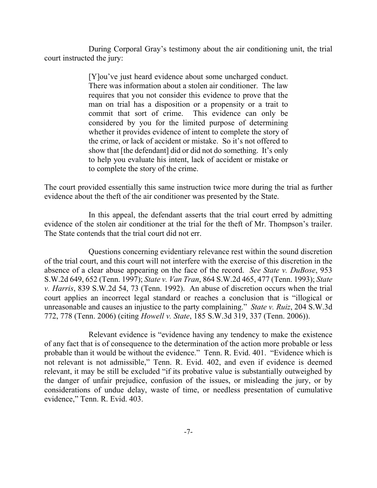During Corporal Gray's testimony about the air conditioning unit, the trial court instructed the jury:

> [Y]ou've just heard evidence about some uncharged conduct. There was information about a stolen air conditioner. The law requires that you not consider this evidence to prove that the man on trial has a disposition or a propensity or a trait to commit that sort of crime. This evidence can only be considered by you for the limited purpose of determining whether it provides evidence of intent to complete the story of the crime, or lack of accident or mistake. So it's not offered to show that [the defendant] did or did not do something. It's only to help you evaluate his intent, lack of accident or mistake or to complete the story of the crime.

The court provided essentially this same instruction twice more during the trial as further evidence about the theft of the air conditioner was presented by the State.

In this appeal, the defendant asserts that the trial court erred by admitting evidence of the stolen air conditioner at the trial for the theft of Mr. Thompson's trailer. The State contends that the trial court did not err.

Questions concerning evidentiary relevance rest within the sound discretion of the trial court, and this court will not interfere with the exercise of this discretion in the absence of a clear abuse appearing on the face of the record. *See State v. DuBose*, 953 S.W.2d 649, 652 (Tenn. 1997); *State v. Van Tran*, 864 S.W.2d 465, 477 (Tenn. 1993); *State v. Harris*, 839 S.W.2d 54, 73 (Tenn. 1992). An abuse of discretion occurs when the trial court applies an incorrect legal standard or reaches a conclusion that is "illogical or unreasonable and causes an injustice to the party complaining." *State v. Ruiz*, 204 S.W.3d 772, 778 (Tenn. 2006) (citing *Howell v. State*, 185 S.W.3d 319, 337 (Tenn. 2006)).

Relevant evidence is "evidence having any tendency to make the existence of any fact that is of consequence to the determination of the action more probable or less probable than it would be without the evidence." Tenn. R. Evid. 401. "Evidence which is not relevant is not admissible," Tenn. R. Evid. 402, and even if evidence is deemed relevant, it may be still be excluded "if its probative value is substantially outweighed by the danger of unfair prejudice, confusion of the issues, or misleading the jury, or by considerations of undue delay, waste of time, or needless presentation of cumulative evidence," Tenn. R. Evid. 403.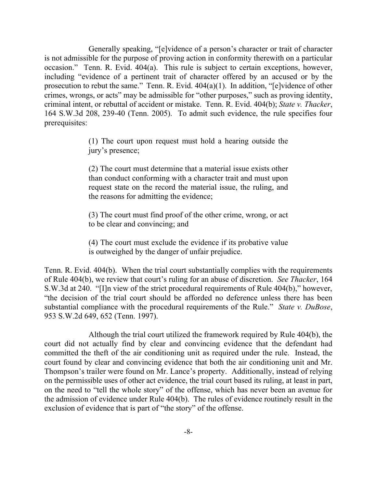Generally speaking, "[e]vidence of a person's character or trait of character is not admissible for the purpose of proving action in conformity therewith on a particular occasion." Tenn. R. Evid. 404(a). This rule is subject to certain exceptions, however, including "evidence of a pertinent trait of character offered by an accused or by the prosecution to rebut the same." Tenn. R. Evid. 404(a)(1). In addition, "[e]vidence of other crimes, wrongs, or acts" may be admissible for "other purposes," such as proving identity, criminal intent, or rebuttal of accident or mistake. Tenn. R. Evid. 404(b); *State v. Thacker*, 164 S.W.3d 208, 239-40 (Tenn. 2005). To admit such evidence, the rule specifies four prerequisites:

> (1) The court upon request must hold a hearing outside the jury's presence;

> (2) The court must determine that a material issue exists other than conduct conforming with a character trait and must upon request state on the record the material issue, the ruling, and the reasons for admitting the evidence;

> (3) The court must find proof of the other crime, wrong, or act to be clear and convincing; and

> (4) The court must exclude the evidence if its probative value is outweighed by the danger of unfair prejudice.

Tenn. R. Evid. 404(b). When the trial court substantially complies with the requirements of Rule 404(b), we review that court's ruling for an abuse of discretion. *See Thacker*, 164 S.W.3d at 240. "[I]n view of the strict procedural requirements of Rule 404(b)," however, "the decision of the trial court should be afforded no deference unless there has been substantial compliance with the procedural requirements of the Rule." *State v. DuBose*, 953 S.W.2d 649, 652 (Tenn. 1997).

Although the trial court utilized the framework required by Rule 404(b), the court did not actually find by clear and convincing evidence that the defendant had committed the theft of the air conditioning unit as required under the rule. Instead, the court found by clear and convincing evidence that both the air conditioning unit and Mr. Thompson's trailer were found on Mr. Lance's property. Additionally, instead of relying on the permissible uses of other act evidence, the trial court based its ruling, at least in part, on the need to "tell the whole story" of the offense, which has never been an avenue for the admission of evidence under Rule 404(b). The rules of evidence routinely result in the exclusion of evidence that is part of "the story" of the offense.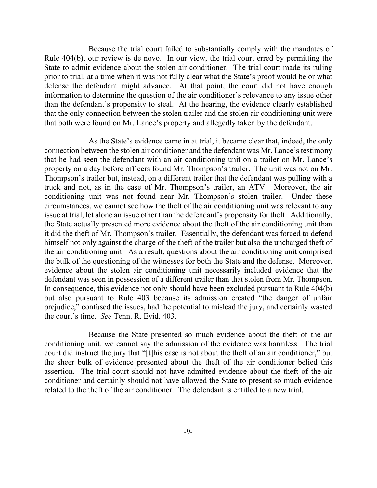Because the trial court failed to substantially comply with the mandates of Rule 404(b), our review is de novo. In our view, the trial court erred by permitting the State to admit evidence about the stolen air conditioner. The trial court made its ruling prior to trial, at a time when it was not fully clear what the State's proof would be or what defense the defendant might advance. At that point, the court did not have enough information to determine the question of the air conditioner's relevance to any issue other than the defendant's propensity to steal. At the hearing, the evidence clearly established that the only connection between the stolen trailer and the stolen air conditioning unit were that both were found on Mr. Lance's property and allegedly taken by the defendant.

As the State's evidence came in at trial, it became clear that, indeed, the only connection between the stolen air conditioner and the defendant was Mr. Lance's testimony that he had seen the defendant with an air conditioning unit on a trailer on Mr. Lance's property on a day before officers found Mr. Thompson's trailer. The unit was not on Mr. Thompson's trailer but, instead, on a different trailer that the defendant was pulling with a truck and not, as in the case of Mr. Thompson's trailer, an ATV. Moreover, the air conditioning unit was not found near Mr. Thompson's stolen trailer. Under these circumstances, we cannot see how the theft of the air conditioning unit was relevant to any issue at trial, let alone an issue other than the defendant's propensity for theft. Additionally, the State actually presented more evidence about the theft of the air conditioning unit than it did the theft of Mr. Thompson's trailer. Essentially, the defendant was forced to defend himself not only against the charge of the theft of the trailer but also the uncharged theft of the air conditioning unit. As a result, questions about the air conditioning unit comprised the bulk of the questioning of the witnesses for both the State and the defense. Moreover, evidence about the stolen air conditioning unit necessarily included evidence that the defendant was seen in possession of a different trailer than that stolen from Mr. Thompson. In consequence, this evidence not only should have been excluded pursuant to Rule 404(b) but also pursuant to Rule 403 because its admission created "the danger of unfair prejudice," confused the issues, had the potential to mislead the jury, and certainly wasted the court's time. *See* Tenn. R. Evid. 403.

Because the State presented so much evidence about the theft of the air conditioning unit, we cannot say the admission of the evidence was harmless. The trial court did instruct the jury that "[t]his case is not about the theft of an air conditioner," but the sheer bulk of evidence presented about the theft of the air conditioner belied this assertion. The trial court should not have admitted evidence about the theft of the air conditioner and certainly should not have allowed the State to present so much evidence related to the theft of the air conditioner. The defendant is entitled to a new trial.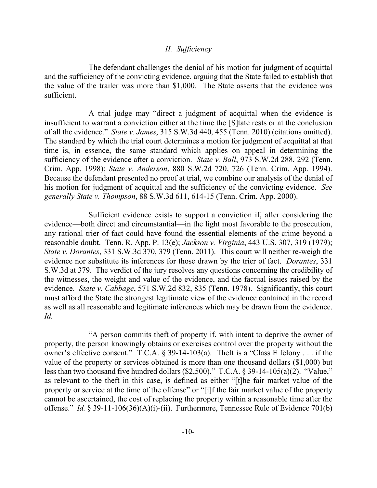#### *II. Sufficiency*

The defendant challenges the denial of his motion for judgment of acquittal and the sufficiency of the convicting evidence, arguing that the State failed to establish that the value of the trailer was more than \$1,000. The State asserts that the evidence was sufficient.

A trial judge may "direct a judgment of acquittal when the evidence is insufficient to warrant a conviction either at the time the [S]tate rests or at the conclusion of all the evidence." *State v. James*, 315 S.W.3d 440, 455 (Tenn. 2010) (citations omitted). The standard by which the trial court determines a motion for judgment of acquittal at that time is, in essence, the same standard which applies on appeal in determining the sufficiency of the evidence after a conviction. *State v. Ball*, 973 S.W.2d 288, 292 (Tenn. Crim. App. 1998); *State v. Anderson*, 880 S.W.2d 720, 726 (Tenn. Crim. App. 1994). Because the defendant presented no proof at trial, we combine our analysis of the denial of his motion for judgment of acquittal and the sufficiency of the convicting evidence. *See generally State v. Thompson*, 88 S.W.3d 611, 614-15 (Tenn. Crim. App. 2000).

Sufficient evidence exists to support a conviction if, after considering the evidence—both direct and circumstantial—in the light most favorable to the prosecution, any rational trier of fact could have found the essential elements of the crime beyond a reasonable doubt. Tenn. R. App. P. 13(e); *Jackson v. Virginia*, 443 U.S. 307, 319 (1979); *State v. Dorantes*, 331 S.W.3d 370, 379 (Tenn. 2011). This court will neither re-weigh the evidence nor substitute its inferences for those drawn by the trier of fact. *Dorantes*, 331 S.W.3d at 379. The verdict of the jury resolves any questions concerning the credibility of the witnesses, the weight and value of the evidence, and the factual issues raised by the evidence. *State v. Cabbage*, 571 S.W.2d 832, 835 (Tenn. 1978). Significantly, this court must afford the State the strongest legitimate view of the evidence contained in the record as well as all reasonable and legitimate inferences which may be drawn from the evidence. *Id.*

"A person commits theft of property if, with intent to deprive the owner of property, the person knowingly obtains or exercises control over the property without the owner's effective consent." T.C.A. § 39-14-103(a). Theft is a "Class E felony . . . if the value of the property or services obtained is more than one thousand dollars (\$1,000) but less than two thousand five hundred dollars (\$2,500)." T.C.A. § 39-14-105(a)(2). "Value," as relevant to the theft in this case, is defined as either "[t]he fair market value of the property or service at the time of the offense" or "[i]f the fair market value of the property cannot be ascertained, the cost of replacing the property within a reasonable time after the offense." *Id.* § 39-11-106(36)(A)(i)-(ii). Furthermore, Tennessee Rule of Evidence 701(b)